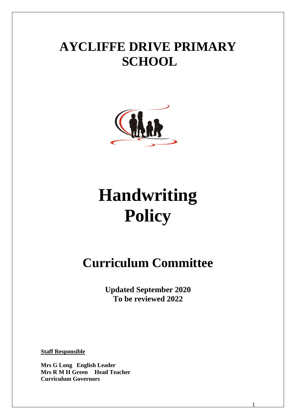# **AYCLIFFE DRIVE PRIMARY SCHOOL**



# **Handwriting Policy**

# **Curriculum Committee**

**Updated September 2020 To be reviewed 2022**

1

**Staff Responsible**

**Mrs G Long English Leader Mrs R M H Green Head Teacher Curriculum Governors**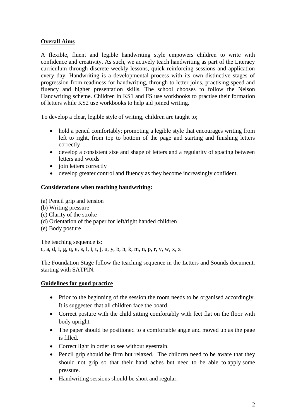# **Overall Aims**

A flexible, fluent and legible handwriting style empowers children to write with confidence and creativity. As such, we actively teach handwriting as part of the Literacy curriculum through discrete weekly lessons, quick reinforcing sessions and application every day. Handwriting is a developmental process with its own distinctive stages of progression from readiness for handwriting, through to letter joins, practising speed and fluency and higher presentation skills. The school chooses to follow the Nelson Handwriting scheme. Children in KS1 and FS use workbooks to practise their formation of letters while KS2 use workbooks to help aid joined writing.

To develop a clear, legible style of writing, children are taught to;

- hold a pencil comfortably; promoting a legible style that encourages writing from left to right, from top to bottom of the page and starting and finishing letters correctly
- develop a consistent size and shape of letters and a regularity of spacing between letters and words
- $\bullet$  join letters correctly
- develop greater control and fluency as they become increasingly confident.

#### **Considerations when teaching handwriting:**

- (a) Pencil grip and tension
- (b) Writing pressure
- (c) Clarity of the stroke
- (d) Orientation of the paper for left/right handed children
- (e) Body posture

The teaching sequence is: c, a, d, f, g, q, e, s, l, i, t, j, u, y, b, h, k, m, n, p, r, v, w, x, z

The Foundation Stage follow the teaching sequence in the Letters and Sounds document, starting with SATPIN.

# **Guidelines for good practice**

- Prior to the beginning of the session the room needs to be organised accordingly. It is suggested that all children face the board.
- Correct posture with the child sitting comfortably with feet flat on the floor with body upright.
- The paper should be positioned to a comfortable angle and moved up as the page is filled.
- Correct light in order to see without eyestrain.
- Pencil grip should be firm but relaxed. The children need to be aware that they should not grip so that their hand aches but need to be able to [apply](http://www.burrowmoor.net/school/policies/handwriting.htm) some pressure.
- Handwriting sessions should be short and regular.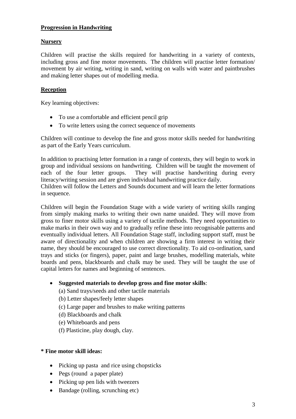# **Progression in Handwriting**

# **Nursery**

Children will practise the skills required for handwriting in a variety of contexts, including gross and fine motor movements. The children will practise letter formation/ movement by air writing, writing in sand, writing on walls with water and paintbrushes and making letter shapes out of modelling media.

# **Reception**

Key learning objectives:

- To use a comfortable and efficient pencil grip
- To write letters using the correct sequence of movements

Children will continue to develop the fine and gross motor skills needed for handwriting as part of the Early Years curriculum.

In addition to practising letter formation in a range of contexts, they will begin to work in group and individual sessions on handwriting. Children will be taught the movement of each of the four letter groups. They will practise handwriting during every literacy/writing session and are given individual handwriting practice daily.

Children will follow the Letters and Sounds document and will learn the letter formations in sequence.

Children will begin the Foundation Stage with a wide variety of writing skills ranging from simply making marks to writing their own name unaided. They will move from gross to finer motor skills using a variety of tactile methods. They need opportunities to make marks in their own way and to gradually refine these into recognisable patterns and eventually individual letters. All Foundation Stage staff, including support staff, must be aware of directionality and when children are showing a firm interest in writing their name, they should be encouraged to use correct directionality. To aid co-ordination, sand trays and sticks (or fingers), paper, paint and large brushes, modelling materials, white boards and pens, blackboards and chalk may be used. They will be taught the use of capital letters for names and beginning of sentences.

- **Suggested materials to develop gross and fine motor skills**:
	- (a) Sand trays/seeds and other tactile materials
	- (b) Letter shapes/feely letter shapes
	- (c) Large paper and brushes to make writing patterns
	- (d) Blackboards and chalk
	- (e) Whiteboards and pens
	- (f) Plasticine, play dough, clay.

# **\* Fine motor skill ideas:**

- Picking up pasta and rice using chopsticks
- Pegs (round a paper plate)
- Picking up pen lids with tweezers
- Bandage (rolling, scrunching etc)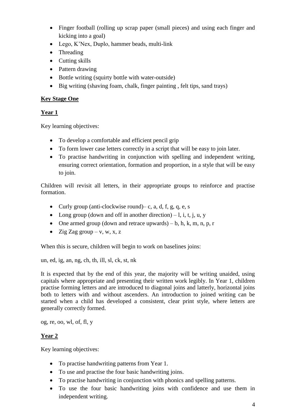- Finger football (rolling up scrap paper (small pieces) and using each finger and kicking into a goal)
- Lego, K'Nex, Duplo, hammer beads, multi-link
- Threading
- Cutting skills
- Pattern drawing
- Bottle writing (squirty bottle with water-outside)
- Big writing (shaving foam, chalk, finger painting , felt tips, sand trays)

# **Key Stage One**

# **Year 1**

Key learning objectives:

- To develop a comfortable and efficient pencil grip
- To form lower case letters correctly in a script that will be easy to join later.
- To practise handwriting in conjunction with spelling and independent writing, ensuring correct orientation, formation and proportion, in a style that will be easy to join.

Children will revisit all letters, in their appropriate groups to reinforce and practise formation.

- Curly group (anti-clockwise round)– c, a, d, f, g, q, e, s
- Long group (down and off in another direction) l, i, t, j, u, y
- One armed group (down and retrace upwards) b, h, k, m, n, p, r
- Zig Zag group v, w, x, z

When this is secure, children will begin to work on baselines joins:

un, ed, ig, an, ng, ch, th, ill, sl, ck, st, nk

It is expected that by the end of this year, the majority will be writing unaided, using capitals where appropriate and presenting their written work legibly. In Year 1, children practise forming letters and are introduced to diagonal joins and latterly, horizontal joins both to letters with and without ascenders. An introduction to joined writing can be started when a child has developed a consistent, clear print style, where letters are generally correctly formed.

og, re, oo, wl, of, fl, y

# **Year 2**

Key learning objectives:

- To practise handwriting patterns from Year 1.
- To use and practise the four basic handwriting joins.
- To practise handwriting in conjunction with phonics and spelling patterns.
- To use the four basic handwriting joins with confidence and use them in independent writing.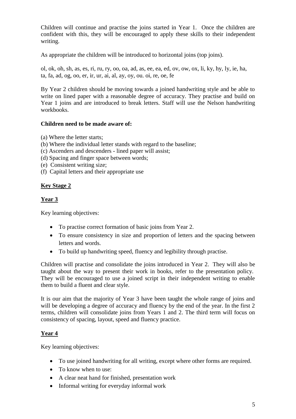Children will continue and practise the joins started in Year 1. Once the children are confident with this, they will be encouraged to apply these skills to their independent writing.

As appropriate the children will be introduced to horizontal joins (top joins).

ol, ok, oh, sh, as, es, ri, ru, ry, oo, oa, ad, as, ee, ea, ed, ov, ow, ox, li, ky, hy, ly, ie, ha, ta, fa, ad, og, oo, er, ir, ur, ai, al, ay, oy, ou. oi, re, oe, fe

By Year 2 children should be moving towards a joined handwriting style and be able to write on lined paper with a reasonable degree of accuracy. They practise and build on Year 1 joins and are introduced to break letters. Staff will use the Nelson handwriting workbooks.

# **Children need to be made aware of:**

- (a) Where the letter starts;
- (b) Where the individual letter stands with regard to the baseline;
- (c) Ascenders and descenders lined paper will assist;
- (d) Spacing and finger space between words;
- (e) Consistent writing size;
- (f) Capital letters and their appropriate use

# **Key Stage 2**

# **Year 3**

Key learning objectives:

- To practise correct formation of basic joins from Year 2.
- To ensure consistency in size and proportion of letters and the spacing between letters and words.
- To build up handwriting speed, fluency and legibility through practise.

Children will practise and consolidate the joins introduced in Year 2. They will also be taught about the way to present their work in books, refer to the presentation policy. They will be encouraged to use a joined script in their independent writing to enable them to build a fluent and clear style.

It is our aim that the majority of Year 3 have been taught the whole range of joins and will be developing a degree of accuracy and fluency by the end of the year. In the first 2 terms, children will consolidate joins from Years 1 and 2. The third term will focus on consistency of spacing, layout, speed and fluency practice.

# **Year 4**

Key learning objectives:

- To use joined handwriting for all writing, except where other forms are required.
- To know when to use:
- A clear neat hand for finished, presentation work
- Informal writing for everyday informal work